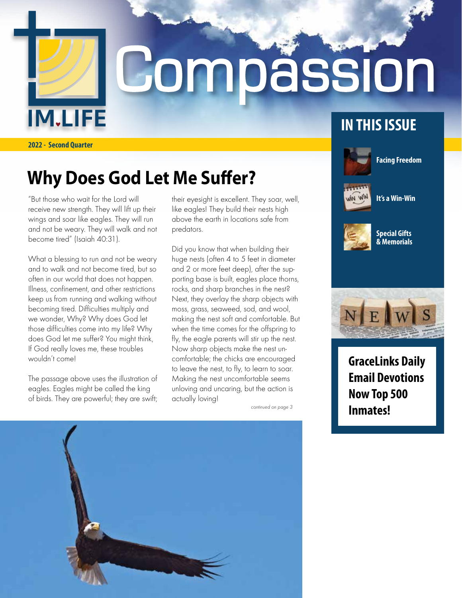**2022 - Second Quarter**

**M.LIFE** 

# Compassion

## **Why Does God Let Me Suffer?**

"But those who wait for the Lord will receive new strength. They will lift up their wings and soar like eagles. They will run and not be weary. They will walk and not become tired" (Isaiah 40:31).

What a blessing to run and not be weary and to walk and not become tired, but so often in our world that does not happen. Illness, confinement, and other restrictions keep us from running and walking without becoming tired. Difficulties multiply and we wonder, Why? Why does God let those difficulties come into my life? Why does God let me suffer? You might think, If God really loves me, these troubles wouldn't come!

The passage above uses the illustration of eagles. Eagles might be called the king of birds. They are powerful; they are swift; their eyesight is excellent. They soar, well, like eagles! They build their nests high above the earth in locations safe from predators.

Did you know that when building their huge nests (often 4 to 5 feet in diameter and 2 or more feet deep), after the supporting base is built, eagles place thorns, rocks, and sharp branches in the nest? Next, they overlay the sharp objects with moss, grass, seaweed, sod, and wool, making the nest soft and comfortable. But when the time comes for the offspring to fly, the eagle parents will stir up the nest. Now sharp objects make the nest uncomfortable; the chicks are encouraged to leave the nest, to fly, to learn to soar. Making the nest uncomfortable seems unloving and uncaring, but the action is actually loving!

continued on page 3





**Facing Freedom**



**It's a Win-Win**



**Special Gifts & Memorials**



**GraceLinks Daily Email Devotions Now Top 500 Inmates!**

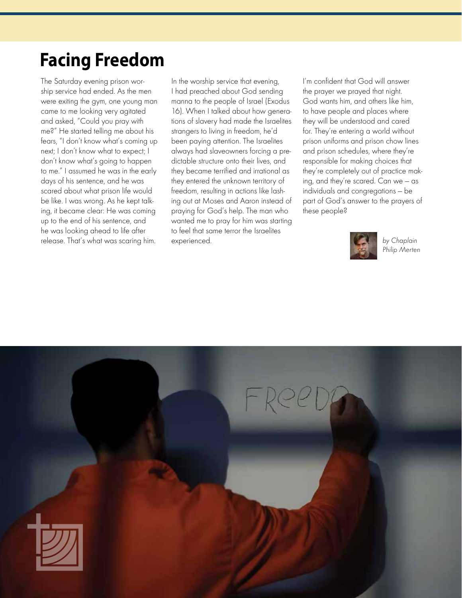## **Facing Freedom**

The Saturday evening prison worship service had ended. As the men were exiting the gym, one young man came to me looking very agitated and asked, "Could you pray with me?" He started telling me about his fears, "I don't know what's coming up next; I don't know what to expect; I don't know what's going to happen to me." I assumed he was in the early days of his sentence, and he was scared about what prison life would be like. I was wrong. As he kept talking, it became clear: He was coming up to the end of his sentence, and he was looking ahead to life after release. That's what was scaring him.

In the worship service that evening, I had preached about God sending manna to the people of Israel (Exodus 16). When I talked about how generations of slavery had made the Israelites strangers to living in freedom, he'd been paying attention. The Israelites always had slaveowners forcing a predictable structure onto their lives, and they became terrified and irrational as they entered the unknown territory of freedom, resulting in actions like lashing out at Moses and Aaron instead of praying for God's help. The man who wanted me to pray for him was starting to feel that same terror the Israelites experienced. The contract of the contract of the contract of the contract of the contract of the contract of the contract of the contract of the contract of the contract of the contract of the contract of the contract of t

I'm confident that God will answer the prayer we prayed that night. God wants him, and others like him, to have people and places where they will be understood and cared for. They're entering a world without prison uniforms and prison chow lines and prison schedules, where they're responsible for making choices that they're completely out of practice making, and they're scared. Can we — as individuals and congregations — be part of God's answer to the prayers of these people?



Philip Merten

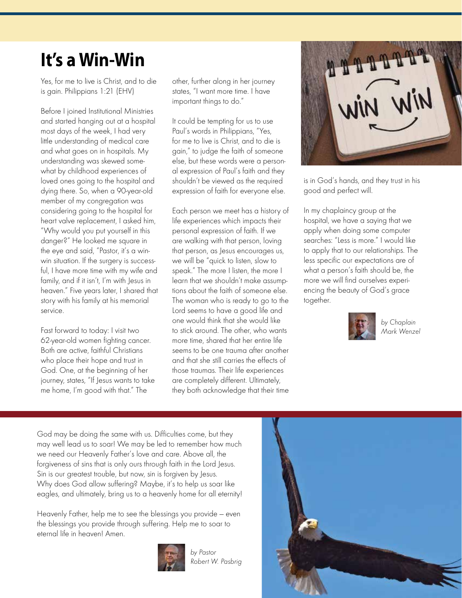#### **It's a Win-Win**

Yes, for me to live is Christ, and to die is gain. Philippians 1:21 (EHV)

Before I joined Institutional Ministries and started hanging out at a hospital most days of the week, I had very little understanding of medical care and what goes on in hospitals. My understanding was skewed somewhat by childhood experiences of loved ones going to the hospital and dying there. So, when a 90-year-old member of my congregation was considering going to the hospital for heart valve replacement, I asked him, "Why would you put yourself in this danger?" He looked me square in the eye and said, "Pastor, it's a winwin situation. If the surgery is successful, I have more time with my wife and family, and if it isn't, I'm with Jesus in heaven." Five years later, I shared that story with his family at his memorial service.

Fast forward to today: I visit two 62-year-old women fighting cancer. Both are active, faithful Christians who place their hope and trust in God. One, at the beginning of her journey, states, "If Jesus wants to take me home, I'm good with that." The

other, further along in her journey states, "I want more time. I have important things to do."

It could be tempting for us to use Paul's words in Philippians, "Yes, for me to live is Christ, and to die is gain," to judge the faith of someone else, but these words were a personal expression of Paul's faith and they shouldn't be viewed as the required expression of faith for everyone else.

Each person we meet has a history of life experiences which impacts their personal expression of faith. If we are walking with that person, loving that person, as Jesus encourages us, we will be "quick to listen, slow to speak." The more I listen, the more I learn that we shouldn't make assumptions about the faith of someone else. The woman who is ready to go to the Lord seems to have a good life and one would think that she would like to stick around. The other, who wants more time, shared that her entire life seems to be one trauma after another and that she still carries the effects of those traumas. Their life experiences are completely different. Ultimately, they both acknowledge that their time



is in God's hands, and they trust in his good and perfect will.

In my chaplaincy group at the hospital, we have a saying that we apply when doing some computer searches: "Less is more." I would like to apply that to our relationships. The less specific our expectations are of what a person's faith should be, the more we will find ourselves experiencing the beauty of God's grace together.



by Chaplain Mark Wenzel

God may be doing the same with us. Difficulties come, but they may well lead us to soar! We may be led to remember how much we need our Heavenly Father's love and care. Above all, the forgiveness of sins that is only ours through faith in the Lord Jesus. Sin is our greatest trouble, but now, sin is forgiven by Jesus. Why does God allow suffering? Maybe, it's to help us soar like eagles, and ultimately, bring us to a heavenly home for all eternity!

Heavenly Father, help me to see the blessings you provide — even the blessings you provide through suffering. Help me to soar to eternal life in heaven! Amen.



by Pastor Robert W. Pasbrig